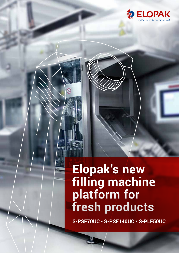

## **Elopak's new filling machine platform for fresh products**

 $^{\circ}$ 

**S-PSF70UC • S-PSF140UC • S-PLF50UC**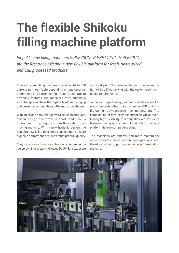# **The flexible Shikoku filling machine platform**

*Elopak's new filling machines S-PSF70UC - S-PSF140UC - S-PLF50UC are the first ones offering a new flexible platform for fresh, pasteurized and ESL processed products.*

These efficient filling machines can fill up to 14.000 cartons per hour (cph) depending on customer requirements and carton configurations used. Due to flexibility features, the machines offer automatic size changes and have the capability of producing up to 6 present sizes and three different carton shapes.

With quick and easy changeovers between products, carton design and sizes, a short lead time is guaranteed providing maximum flexibility in fast moving markets. With a new hygienic design, the Elopak's new filling machines enable a more secure hygienic performance for maximum product quality.

They incorporate low-concentration hydrogen peroxide spray (2 %) system, followed by UV-light exposure and air drying. This reduces the peroxide consumption while still complying with the carton decontamination requirements.

 A more compact design, with no standalone auxiliary components other than cap feeder, CIP unit and Elofoam unit, give reduced machine footprints. The combination of low utility consumption whilst maintaining high flexibility functionalities are the extra features that give the new Elopak filling machine platform its true competitive edge.

The machines are smarter and more modern for more products, more carton configurations and therefore more opportunities in ever demanding markets.

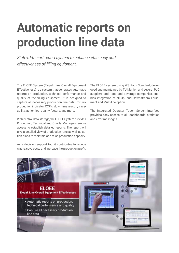# **Automatic reports on production line data**

*State-of-the-art report system to enhance efficiency and effectiveness of filling equipment.*

The ELOEE System (Elopak Line Overall Equipment Effectiveness) is a system that generates automatic reports on production, technical performance and quality of the filling equipment. It is designed to capture all necessary production line data for key production indicator, CCP's, downtime reason, traceability, action log, quality factors, and more.

With central data storage, the ELOEE System provides Production, Technical and Quality Managers remote access to establish detailed reports. The report will give a detailed view of production runs as well as action plans to maintain and raise production capacity.

As a decision support tool it contributes to reduce waste, save costs and increase the production profit.

The ELOEE system using WS Pack Standard, developed and maintained by TU Munich and several PLC suppliers and Food and Beverage companies, enables integration of all Up- and Downstream Equipment and Multi-line option.

The Integrated Operator Touch Screen Interface provides easy access to all dashboards, statistics and error messages.

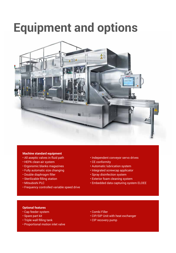# **Equipment and options**



#### **Machine standard equipment**

- All aseptic valves in fluid path
- HEPA clean-air system
- Ergonomic blanks magazines
- Fully automatic size changing
- Double diaphragm filler
- Sterilizable filling station
- Mitsubishi PLC
- Frequency controlled variable speed drive
- Independent conveyor servo drives
- CE conformity
- Automatic lubrication system
- Integrated screwcap applicator
- Spray disinfection system
- Exterior foam cleaning system
- Embedded data capturing system ELOEE

#### **Optional features**

- Cap feeder system
- Spare part kit
- Triple wall filling tank
- Proportional motion inlet valve
- Combi Filler
- CIP/SIP Unit with heat exchanger
- CIP recovery pump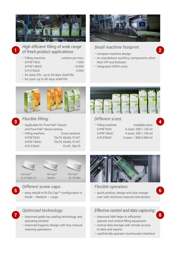

*High efficient filling of wide range of fresh product applications:* 1 *a* **a** *a a a a a a a a a a a a a a a a* **<b>***a a <i>a* **<b>** *a*

- Filling machine cartons per hour S-PSF70UC 7.000 S-PSF140UC 14.000 S-PLF50UC 5.000
- for dairy ESL: up to 28 days shelf-life
- for juice: up to 60 days shelf-life



## *Small machine footprint:*

- compact machine design
- no standalone auxillary components other than CIP and Elofoam
- integrated HEPA-units



### *Flexible filling:*

- • Applicable for Pure-Pak**®** Classic and Pure-Pak**®** Sense cartons **3 4**
	-
	- Filling machine Cross sections S-PSF70UC 70x70, 65x65, 57x57 S-PSF140UC 70x70, 65x65, 57x57 S-PLF50UC 91x91, 96x70





Elo-CapTM U, UE light, U4

## Optima

Elo-CapTM XE, XE light



### *Different screw caps:*

• easy rebuilt to fit Elo-CapTM configuration in **5 6** Small – Medium – Large

## *Optimized technology:*

- improved gable top sealing technology and **7 8** operating window
	- improved hygienic design with less manual cleaning operations



## *Different sizes:*

• Filling machine **Available sizes** S-PSF70UC 6 sizes: 250-1.136 ml S-PSF140UC 6 sizes: 250-1.136 ml S-PLF50UC 3 sizes: 1.500-2.000 ml



### *Flexible operation:*

• quick product, design and size change over with minimum manual intervention

### *Effective control and data capturing:*

- improved HMI helps to efficiently operate and control filling equipment
- central data storage with remote access to data and reports
- userfriendly operator touchscreen interface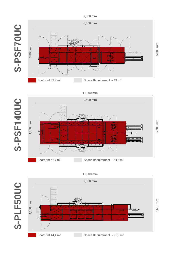



11,000 mm

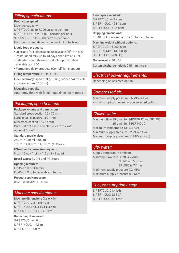#### *Filling specifications:*

#### **Production speed:**

Machine capacity:

S-PSF70UC: up to 7,000 cartons per hour S-PSF140UC: up to 14,000 cartons per hour S-PLF50UC: up to 5,000 cartons per hour Maximum speed depends on product to be filled.

#### **Liquid food products:**

- Juice and fruit drinks up to 60 days shelf-life at < 8 °C
- Pasteurised milk up to 13 days shelf-life at < 8 °C.
- Extended shelf-life milk products up to 28 days shelf-life at < 8 °C
- Fermented dairy products (Combifiller is option)

**Filling temperature: > 2 to < 8 °C** 

**Filler accuracy:** span of 3 gr. using rubber nozzles filling water (span 0.106 oz)

**Magazine capacity:**  Autonomy time with filled magazines: 15 minutes

*Packaging specifications:* **Package volume and dimensions:** Standard cross-section 70 x 70 mm Large cross-section 91 x 91 mm Mini cross-section 57 x 57 mm Pure-Pak® Classic and Sense cartons with optional Curve®.

**Standard metric sizes:** 250 ml • 330 ml • 500 ml 750 ml • 1,000 ml • 1,136 ml (2 UK pints)

**USA-specific sizes (on request):** 8 oz • 10 oz • 1 pint • 1.5 pint • 1 quart

**Board types:** EVOH and PE Board

**Opening features:** Elo-Cap™ U or X family Elo-Cap™ O to be available in future

**Product supply pressure:**  $0.02 - 0.10$  MPa (3 – 15 psi)

*Machine specifications:* **Machine dimensions (l x w x h):** S-PSF70UC: 3,8 x 8,6 x 3,5 m S-PSF140UC: 4,5 x 10,1 x 3,5 m S-PLF50UC: 9,7 x 1,7 x 3,9 m

**Room height required:**  S-PSF70UC: ~4,6 m S-PSF140UC: ~4,6 m S-PLF50UC: ~5,0 m

#### **Floor space required:**

S-PSF70UC: ~49 sqm S-PSF140UC: ~64,4 sqm S-PLF50UC: ~61,6 sqm

**Shipping dimensions:**  1 x 40 foot container and 1x 20 foot container

**Machine weight without options:**  S-PSF70UC: ~8000 kg m S-PSF140UC: ~13 000 kg S-PLF50UC: ~9000 kg

**Noise level:** < 80 dBA

**Carton discharge height:** 945 mm (37.2 in)

*Electrical power requirements:* Depending on selected option.

## *Compressed air:*

Minimum supply pressure 0.6 MPa (80 psi) Air consumption: depending on selected option.

*Chilled water:* Minimum flow 15 l/min for S-PSF70UC and SPLF50 25 l/min for S-PSF140UC Maximum temperature +3 °C (37.4 °F) Minimum supply pressure 0.2 MPa (29 psi) Maximum supply pressure 0.3 MPa (43,5 psi)

*City water:* Supply temperature ambient Minimum flow rate SF70 is 7l/min SF140 is 15L/min SPLF50 is 7l/min Minimum supply pressure 0.2 MPa Maximum supply pressure 0.3 MPa

#### *H2o2 consumption usage*

S-PSF70UC: 0,84 L/hr S-PSF140UC: 1,68 L/hr S-PLF50UC: 0,84 L/hr